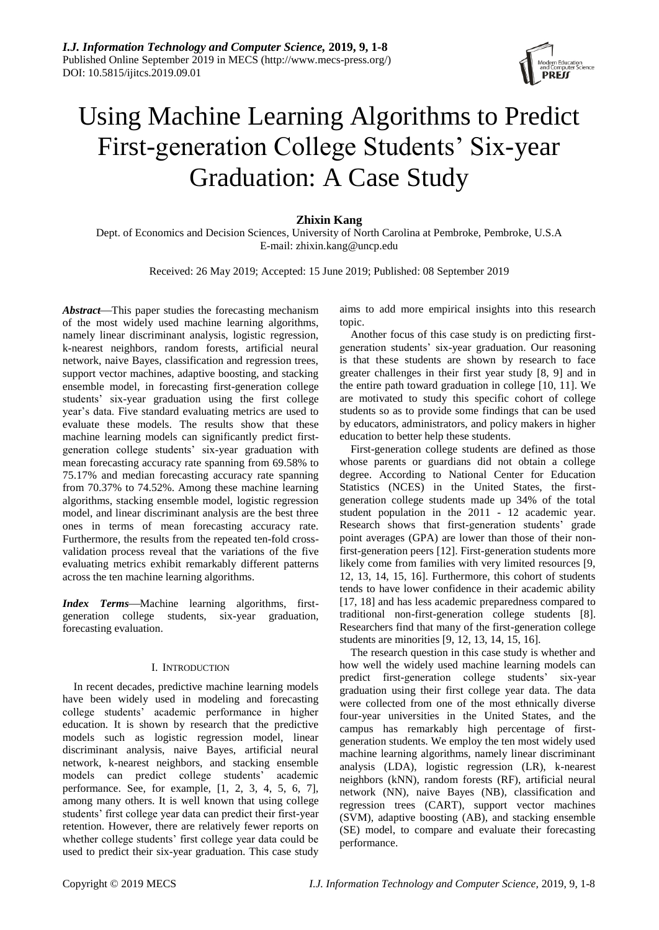

# Using Machine Learning Algorithms to Predict First-generation College Students' Six-year Graduation: A Case Study

# **Zhixin Kang**

Dept. of Economics and Decision Sciences, University of North Carolina at Pembroke, Pembroke, U.S.A E-mail[: zhixin.kang@uncp.edu](mailto:zhixin.kang@uncp.edu)

Received: 26 May 2019; Accepted: 15 June 2019; Published: 08 September 2019

*Abstract*—This paper studies the forecasting mechanism of the most widely used machine learning algorithms, namely linear discriminant analysis, logistic regression, k-nearest neighbors, random forests, artificial neural network, naive Bayes, classification and regression trees, support vector machines, adaptive boosting, and stacking ensemble model, in forecasting first-generation college students' six-year graduation using the first college year's data. Five standard evaluating metrics are used to evaluate these models. The results show that these machine learning models can significantly predict firstgeneration college students' six-year graduation with mean forecasting accuracy rate spanning from 69.58% to 75.17% and median forecasting accuracy rate spanning from 70.37% to 74.52%. Among these machine learning algorithms, stacking ensemble model, logistic regression model, and linear discriminant analysis are the best three ones in terms of mean forecasting accuracy rate. Furthermore, the results from the repeated ten-fold crossvalidation process reveal that the variations of the five evaluating metrics exhibit remarkably different patterns across the ten machine learning algorithms.

*Index Terms*—Machine learning algorithms, firstgeneration college students, six-year graduation, forecasting evaluation.

### I. INTRODUCTION

In recent decades, predictive machine learning models have been widely used in modeling and forecasting college students' academic performance in higher education. It is shown by research that the predictive models such as logistic regression model, linear discriminant analysis, naive Bayes, artificial neural network, k-nearest neighbors, and stacking ensemble models can predict college students' academic performance. See, for example, [1, 2, 3, 4, 5, 6, 7], among many others. It is well known that using college students' first college year data can predict their first-year retention. However, there are relatively fewer reports on whether college students' first college year data could be used to predict their six-year graduation. This case study aims to add more empirical insights into this research topic.

Another focus of this case study is on predicting firstgeneration students' six-year graduation. Our reasoning is that these students are shown by research to face greater challenges in their first year study [8, 9] and in the entire path toward graduation in college [10, 11]. We are motivated to study this specific cohort of college students so as to provide some findings that can be used by educators, administrators, and policy makers in higher education to better help these students.

First-generation college students are defined as those whose parents or guardians did not obtain a college degree. According to National Center for Education Statistics (NCES) in the United States, the firstgeneration college students made up 34% of the total student population in the 2011 - 12 academic year. Research shows that first-generation students' grade point averages (GPA) are lower than those of their nonfirst-generation peers [12]. First-generation students more likely come from families with very limited resources [9, 12, 13, 14, 15, 16]. Furthermore, this cohort of students tends to have lower confidence in their academic ability [17, 18] and has less academic preparedness compared to traditional non-first-generation college students [8]. Researchers find that many of the first-generation college students are minorities [9, 12, 13, 14, 15, 16].

The research question in this case study is whether and how well the widely used machine learning models can predict first-generation college students' six-year graduation using their first college year data. The data were collected from one of the most ethnically diverse four-year universities in the United States, and the campus has remarkably high percentage of firstgeneration students. We employ the ten most widely used machine learning algorithms, namely linear discriminant analysis (LDA), logistic regression (LR), k-nearest neighbors (kNN), random forests (RF), artificial neural network (NN), naive Bayes (NB), classification and regression trees (CART), support vector machines (SVM), adaptive boosting (AB), and stacking ensemble (SE) model, to compare and evaluate their forecasting performance.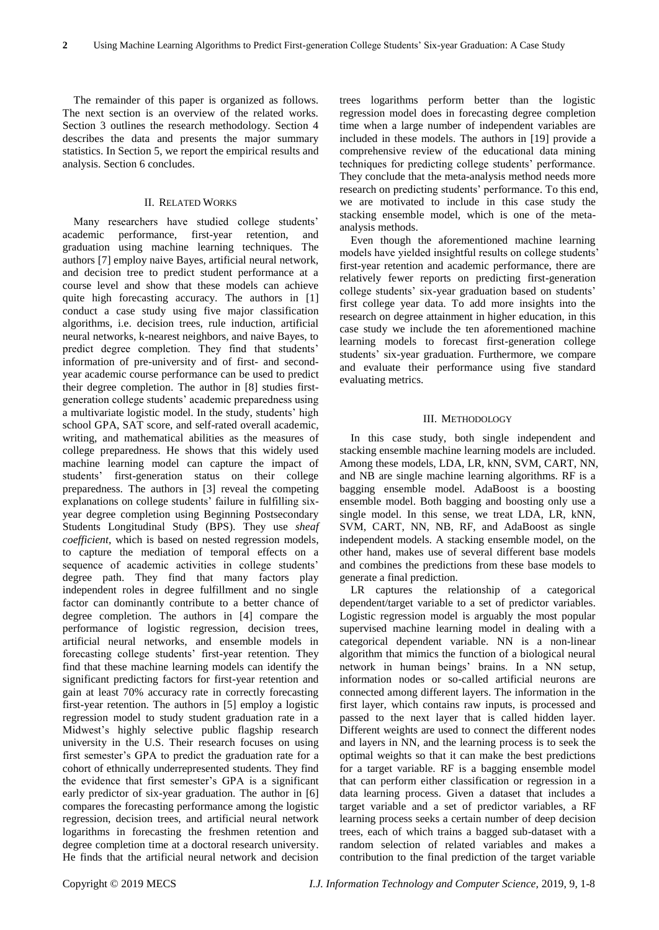The remainder of this paper is organized as follows. The next section is an overview of the related works. Section 3 outlines the research methodology. Section 4 describes the data and presents the major summary statistics. In Section 5, we report the empirical results and analysis. Section 6 concludes.

## II. RELATED WORKS

Many researchers have studied college students' academic performance, first-year retention, and graduation using machine learning techniques. The authors [7] employ naive Bayes, artificial neural network, and decision tree to predict student performance at a course level and show that these models can achieve quite high forecasting accuracy. The authors in [1] conduct a case study using five major classification algorithms, i.e. decision trees, rule induction, artificial neural networks, k-nearest neighbors, and naive Bayes, to predict degree completion. They find that students' information of pre-university and of first- and secondyear academic course performance can be used to predict their degree completion. The author in [8] studies firstgeneration college students' academic preparedness using a multivariate logistic model. In the study, students' high school GPA, SAT score, and self-rated overall academic, writing, and mathematical abilities as the measures of college preparedness. He shows that this widely used machine learning model can capture the impact of students' first-generation status on their college preparedness. The authors in [3] reveal the competing explanations on college students' failure in fulfilling sixyear degree completion using Beginning Postsecondary Students Longitudinal Study (BPS). They use *sheaf coefficient*, which is based on nested regression models, to capture the mediation of temporal effects on a sequence of academic activities in college students' degree path. They find that many factors play independent roles in degree fulfillment and no single factor can dominantly contribute to a better chance of degree completion. The authors in [4] compare the performance of logistic regression, decision trees, artificial neural networks, and ensemble models in forecasting college students' first-year retention. They find that these machine learning models can identify the significant predicting factors for first-year retention and gain at least 70% accuracy rate in correctly forecasting first-year retention. The authors in [5] employ a logistic regression model to study student graduation rate in a Midwest's highly selective public flagship research university in the U.S. Their research focuses on using first semester's GPA to predict the graduation rate for a cohort of ethnically underrepresented students. They find the evidence that first semester's GPA is a significant early predictor of six-year graduation. The author in [6] compares the forecasting performance among the logistic regression, decision trees, and artificial neural network logarithms in forecasting the freshmen retention and degree completion time at a doctoral research university. He finds that the artificial neural network and decision

trees logarithms perform better than the logistic regression model does in forecasting degree completion time when a large number of independent variables are included in these models. The authors in [19] provide a comprehensive review of the educational data mining techniques for predicting college students' performance. They conclude that the meta-analysis method needs more research on predicting students' performance. To this end, we are motivated to include in this case study the stacking ensemble model, which is one of the metaanalysis methods.

Even though the aforementioned machine learning models have yielded insightful results on college students' first-year retention and academic performance, there are relatively fewer reports on predicting first-generation college students' six-year graduation based on students' first college year data. To add more insights into the research on degree attainment in higher education, in this case study we include the ten aforementioned machine learning models to forecast first-generation college students' six-year graduation. Furthermore, we compare and evaluate their performance using five standard evaluating metrics.

#### III. METHODOLOGY

In this case study, both single independent and stacking ensemble machine learning models are included. Among these models, LDA, LR, kNN, SVM, CART, NN, and NB are single machine learning algorithms. RF is a bagging ensemble model. AdaBoost is a boosting ensemble model. Both bagging and boosting only use a single model. In this sense, we treat LDA, LR, kNN, SVM, CART, NN, NB, RF, and AdaBoost as single independent models. A stacking ensemble model, on the other hand, makes use of several different base models and combines the predictions from these base models to generate a final prediction.

LR captures the relationship of a categorical dependent/target variable to a set of predictor variables. Logistic regression model is arguably the most popular supervised machine learning model in dealing with a categorical dependent variable. NN is a non-linear algorithm that mimics the function of a biological neural network in human beings' brains. In a NN setup, information nodes or so-called artificial neurons are connected among different layers. The information in the first layer, which contains raw inputs, is processed and passed to the next layer that is called hidden layer. Different weights are used to connect the different nodes and layers in NN, and the learning process is to seek the optimal weights so that it can make the best predictions for a target variable. RF is a bagging ensemble model that can perform either classification or regression in a data learning process. Given a dataset that includes a target variable and a set of predictor variables, a RF learning process seeks a certain number of deep decision trees, each of which trains a bagged sub-dataset with a random selection of related variables and makes a contribution to the final prediction of the target variable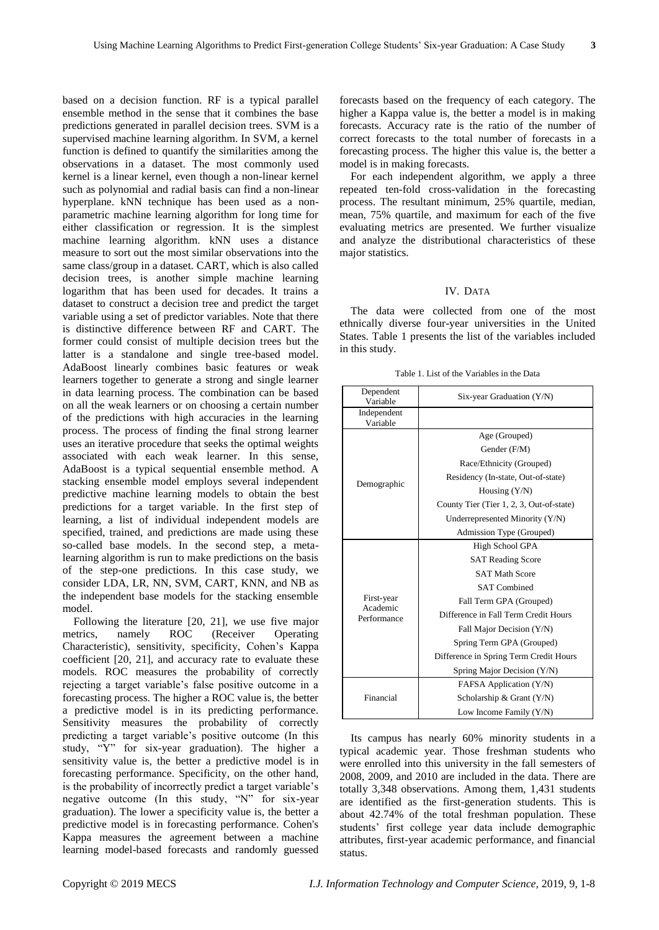based on a decision function. RF is a typical parallel ensemble method in the sense that it combines the base predictions generated in parallel decision trees. SVM is a supervised machine learning algorithm. In SVM, a kernel function is defined to quantify the similarities among the observations in a dataset. The most commonly used kernel is a linear kernel, even though a non-linear kernel such as polynomial and radial basis can find a non-linear hyperplane. kNN technique has been used as a nonparametric machine learning algorithm for long time for either classification or regression. It is the simplest machine learning algorithm. kNN uses a distance measure to sort out the most similar observations into the same class/group in a dataset. CART, which is also called decision trees, is another simple machine learning logarithm that has been used for decades. It trains a dataset to construct a decision tree and predict the target variable using a set of predictor variables. Note that there is distinctive difference between RF and CART. The former could consist of multiple decision trees but the latter is a standalone and single tree-based model. AdaBoost linearly combines basic features or weak learners together to generate a strong and single learner in data learning process. The combination can be based on all the weak learners or on choosing a certain number of the predictions with high accuracies in the learning process. The process of finding the final strong learner uses an iterative procedure that seeks the optimal weights associated with each weak learner. In this sense, AdaBoost is a typical sequential ensemble method. A stacking ensemble model employs several independent predictive machine learning models to obtain the best predictions for a target variable. In the first step of learning, a list of individual independent models are specified, trained, and predictions are made using these so-called base models. In the second step, a metalearning algorithm is run to make predictions on the basis of the step-one predictions. In this case study, we consider LDA, LR, NN, SVM, CART, KNN, and NB as the independent base models for the stacking ensemble model.

Following the literature [20, 21], we use five major metrics, namely ROC (Receiver Operating Characteristic), sensitivity, specificity, Cohen's Kappa coefficient [20, 21], and accuracy rate to evaluate these models. ROC measures the probability of correctly rejecting a target variable's false positive outcome in a forecasting process. The higher a ROC value is, the better a predictive model is in its predicting performance. Sensitivity measures the probability of correctly predicting a target variable's positive outcome (In this study, "Y" for six-year graduation). The higher a sensitivity value is, the better a predictive model is in forecasting performance. Specificity, on the other hand, is the probability of incorrectly predict a target variable's negative outcome (In this study, "N" for six-year graduation). The lower a specificity value is, the better a predictive model is in forecasting performance. Cohen's Kappa measures the agreement between a machine learning model-based forecasts and randomly guessed

forecasts based on the frequency of each category. The higher a Kappa value is, the better a model is in making forecasts. Accuracy rate is the ratio of the number of correct forecasts to the total number of forecasts in a forecasting process. The higher this value is, the better a model is in making forecasts.

For each independent algorithm, we apply a three repeated ten-fold cross-validation in the forecasting process. The resultant minimum, 25% quartile, median, mean, 75% quartile, and maximum for each of the five evaluating metrics are presented. We further visualize and analyze the distributional characteristics of these major statistics.

#### IV. DATA

The data were collected from one of the most ethnically diverse four-year universities in the United States. Table 1 presents the list of the variables included in this study.

Table 1. List of the Variables in the Data

| Dependent<br>Variable   | Six-year Graduation (Y/N)                |  |  |  |
|-------------------------|------------------------------------------|--|--|--|
| Independent<br>Variable |                                          |  |  |  |
|                         | Age (Grouped)                            |  |  |  |
|                         | Gender (F/M)                             |  |  |  |
|                         | Race/Ethnicity (Grouped)                 |  |  |  |
| Demographic             | Residency (In-state, Out-of-state)       |  |  |  |
|                         | Housing $(Y/N)$                          |  |  |  |
|                         | County Tier (Tier 1, 2, 3, Out-of-state) |  |  |  |
|                         | Underrepresented Minority (Y/N)          |  |  |  |
|                         | Admission Type (Grouped)                 |  |  |  |
|                         | High School GPA                          |  |  |  |
|                         | <b>SAT Reading Score</b>                 |  |  |  |
|                         | <b>SAT Math Score</b>                    |  |  |  |
|                         | <b>SAT Combined</b>                      |  |  |  |
| First-year<br>Academic  | Fall Term GPA (Grouped)                  |  |  |  |
| Performance             | Difference in Fall Term Credit Hours     |  |  |  |
|                         | Fall Major Decision (Y/N)                |  |  |  |
|                         | Spring Term GPA (Grouped)                |  |  |  |
|                         | Difference in Spring Term Credit Hours   |  |  |  |
|                         | Spring Major Decision (Y/N)              |  |  |  |
|                         | FAFSA Application (Y/N)                  |  |  |  |
| Financial               | Scholarship & Grant $(Y/N)$              |  |  |  |
|                         | Low Income Family (Y/N)                  |  |  |  |

Its campus has nearly 60% minority students in a typical academic year. Those freshman students who were enrolled into this university in the fall semesters of 2008, 2009, and 2010 are included in the data. There are totally 3,348 observations. Among them, 1,431 students are identified as the first-generation students. This is about 42.74% of the total freshman population. These students' first college year data include demographic attributes, first-year academic performance, and financial status.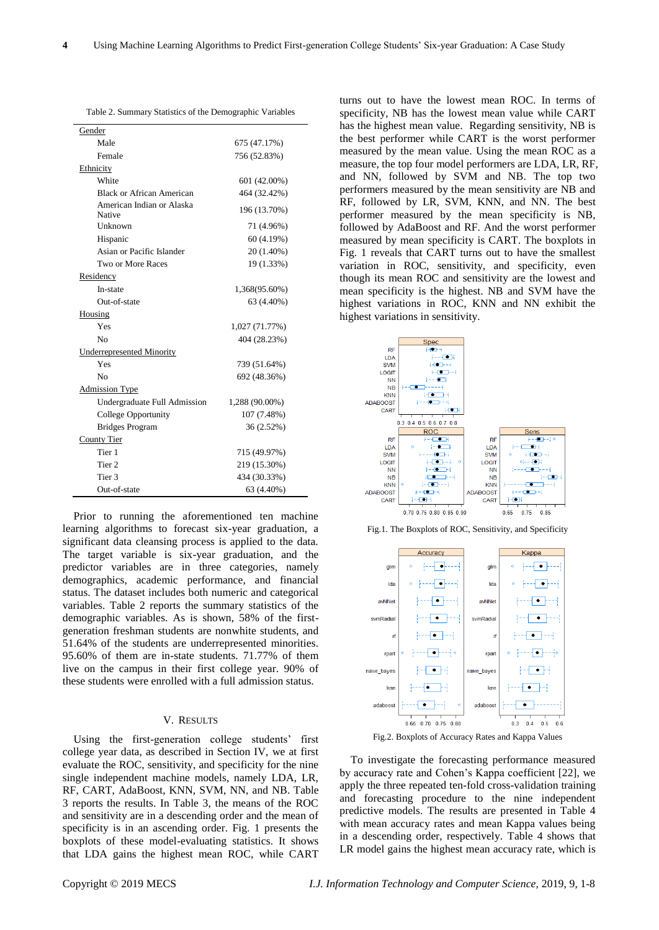|  | Table 2. Summary Statistics of the Demographic Variables |
|--|----------------------------------------------------------|
|--|----------------------------------------------------------|

| Gender                              |                |  |  |
|-------------------------------------|----------------|--|--|
| Male                                | 675 (47.17%)   |  |  |
| Female                              | 756 (52.83%)   |  |  |
| Ethnicity                           |                |  |  |
| White                               | 601 (42.00%)   |  |  |
| Black or African American           | 464 (32.42%)   |  |  |
| American Indian or Alaska<br>Native | 196 (13.70%)   |  |  |
| Unknown                             | 71 (4.96%)     |  |  |
| Hispanic                            | 60 (4.19%)     |  |  |
| Asian or Pacific Islander           | 20 (1.40%)     |  |  |
| Two or More Races                   | 19 (1.33%)     |  |  |
| Residency                           |                |  |  |
| In-state                            | 1,368(95.60%)  |  |  |
| Out-of-state                        | 63 (4.40%)     |  |  |
| Housing                             |                |  |  |
| Yes                                 | 1,027 (71.77%) |  |  |
| N <sub>0</sub>                      | 404 (28.23%)   |  |  |
| <b>Underrepresented Minority</b>    |                |  |  |
| Yes                                 | 739 (51.64%)   |  |  |
| No                                  | 692 (48.36%)   |  |  |
| <b>Admission Type</b>               |                |  |  |
| Undergraduate Full Admission        | 1,288 (90.00%) |  |  |
| College Opportunity                 | 107 (7.48%)    |  |  |
| <b>Bridges Program</b>              | 36 (2.52%)     |  |  |
| County Tier                         |                |  |  |
| Tier 1                              | 715 (49.97%)   |  |  |
| Tier <sub>2</sub>                   | 219 (15.30%)   |  |  |
| Tier 3                              | 434 (30.33%)   |  |  |
| Out-of-state                        | 63 (4.40%)     |  |  |

Prior to running the aforementioned ten machine learning algorithms to forecast six-year graduation, a significant data cleansing process is applied to the data. The target variable is six-year graduation, and the predictor variables are in three categories, namely demographics, academic performance, and financial status. The dataset includes both numeric and categorical variables. Table 2 reports the summary statistics of the demographic variables. As is shown, 58% of the firstgeneration freshman students are nonwhite students, and 51.64% of the students are underrepresented minorities. 95.60% of them are in-state students. 71.77% of them live on the campus in their first college year. 90% of these students were enrolled with a full admission status.

#### V. RESULTS

Using the first-generation college students' first college year data, as described in Section IV, we at first evaluate the ROC, sensitivity, and specificity for the nine single independent machine models, namely LDA, LR, RF, CART, AdaBoost, KNN, SVM, NN, and NB. Table 3 reports the results. In Table 3, the means of the ROC and sensitivity are in a descending order and the mean of specificity is in an ascending order. Fig. 1 presents the boxplots of these model-evaluating statistics. It shows that LDA gains the highest mean ROC, while CART

turns out to have the lowest mean ROC. In terms of specificity, NB has the lowest mean value while CART has the highest mean value. Regarding sensitivity, NB is the best performer while CART is the worst performer measured by the mean value. Using the mean ROC as a measure, the top four model performers are LDA, LR, RF, and NN, followed by SVM and NB. The top two performers measured by the mean sensitivity are NB and RF, followed by LR, SVM, KNN, and NN. The best performer measured by the mean specificity is NB, followed by AdaBoost and RF. And the worst performer measured by mean specificity is CART. The boxplots in Fig. 1 reveals that CART turns out to have the smallest variation in ROC, sensitivity, and specificity, even though its mean ROC and sensitivity are the lowest and mean specificity is the highest. NB and SVM have the highest variations in ROC, KNN and NN exhibit the highest variations in sensitivity.



Fig.1. The Boxplots of ROC, Sensitivity, and Specificity



Fig.2. Boxplots of Accuracy Rates and Kappa Values

To investigate the forecasting performance measured by accuracy rate and Cohen's Kappa coefficient [22], we apply the three repeated ten-fold cross-validation training and forecasting procedure to the nine independent predictive models. The results are presented in Table 4 with mean accuracy rates and mean Kappa values being in a descending order, respectively. Table 4 shows that LR model gains the highest mean accuracy rate, which is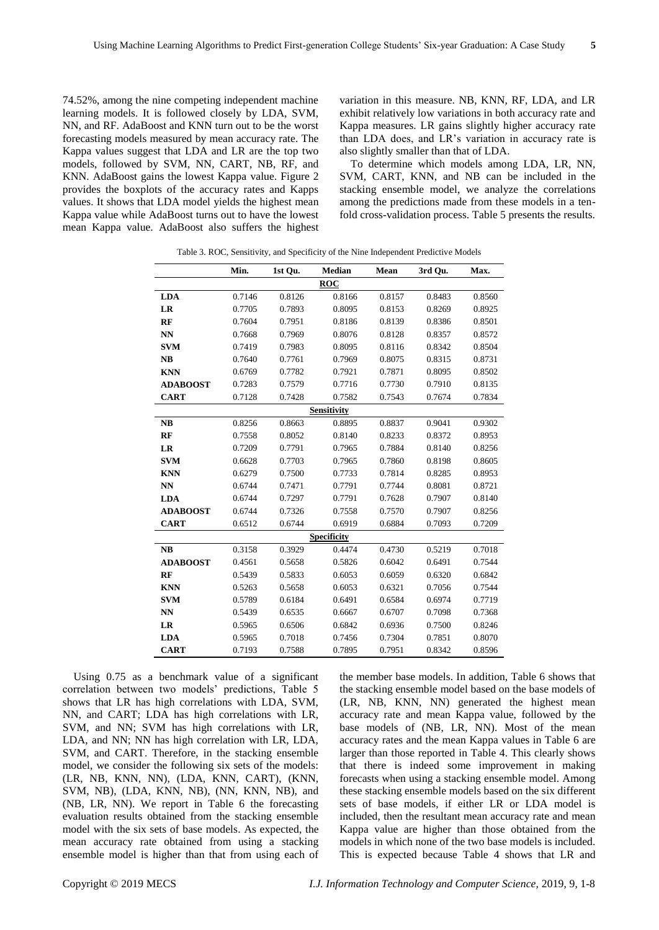74.52%, among the nine competing independent machine learning models. It is followed closely by LDA, SVM, NN, and RF. AdaBoost and KNN turn out to be the worst forecasting models measured by mean accuracy rate. The Kappa values suggest that LDA and LR are the top two models, followed by SVM, NN, CART, NB, RF, and KNN. AdaBoost gains the lowest Kappa value. Figure 2 provides the boxplots of the accuracy rates and Kapps values. It shows that LDA model yields the highest mean Kappa value while AdaBoost turns out to have the lowest mean Kappa value. AdaBoost also suffers the highest variation in this measure. NB, KNN, RF, LDA, and LR exhibit relatively low variations in both accuracy rate and Kappa measures. LR gains slightly higher accuracy rate than LDA does, and LR's variation in accuracy rate is also slightly smaller than that of LDA.

To determine which models among LDA, LR, NN, SVM, CART, KNN, and NB can be included in the stacking ensemble model, we analyze the correlations among the predictions made from these models in a tenfold cross-validation process. Table 5 presents the results.

|                        | Min.   | 1st Qu. | Median             | Mean   | 3rd Qu. | Max.   |
|------------------------|--------|---------|--------------------|--------|---------|--------|
|                        |        |         | <b>ROC</b>         |        |         |        |
| <b>LDA</b>             | 0.7146 | 0.8126  | 0.8166             | 0.8157 | 0.8483  | 0.8560 |
| LR                     | 0.7705 | 0.7893  | 0.8095             | 0.8153 | 0.8269  | 0.8925 |
| RF                     | 0.7604 | 0.7951  | 0.8186             | 0.8139 | 0.8386  | 0.8501 |
| NN                     | 0.7668 | 0.7969  | 0.8076             | 0.8128 | 0.8357  | 0.8572 |
| <b>SVM</b>             | 0.7419 | 0.7983  | 0.8095             | 0.8116 | 0.8342  | 0.8504 |
| NB                     | 0.7640 | 0.7761  | 0.7969             | 0.8075 | 0.8315  | 0.8731 |
| <b>KNN</b>             | 0.6769 | 0.7782  | 0.7921             | 0.7871 | 0.8095  | 0.8502 |
| <b>ADABOOST</b>        | 0.7283 | 0.7579  | 0.7716             | 0.7730 | 0.7910  | 0.8135 |
| <b>CART</b>            | 0.7128 | 0.7428  | 0.7582             | 0.7543 | 0.7674  | 0.7834 |
|                        |        |         | <b>Sensitivity</b> |        |         |        |
| NB                     | 0.8256 | 0.8663  | 0.8895             | 0.8837 | 0.9041  | 0.9302 |
| RF                     | 0.7558 | 0.8052  | 0.8140             | 0.8233 | 0.8372  | 0.8953 |
| LR                     | 0.7209 | 0.7791  | 0.7965             | 0.7884 | 0.8140  | 0.8256 |
| <b>SVM</b>             | 0.6628 | 0.7703  | 0.7965             | 0.7860 | 0.8198  | 0.8605 |
| <b>KNN</b>             | 0.6279 | 0.7500  | 0.7733             | 0.7814 | 0.8285  | 0.8953 |
| NN                     | 0.6744 | 0.7471  | 0.7791             | 0.7744 | 0.8081  | 0.8721 |
| <b>LDA</b>             | 0.6744 | 0.7297  | 0.7791             | 0.7628 | 0.7907  | 0.8140 |
| <b>ADABOOST</b>        | 0.6744 | 0.7326  | 0.7558             | 0.7570 | 0.7907  | 0.8256 |
| <b>CART</b>            | 0.6512 | 0.6744  | 0.6919             | 0.6884 | 0.7093  | 0.7209 |
|                        |        |         | <b>Specificity</b> |        |         |        |
| NB                     | 0.3158 | 0.3929  | 0.4474             | 0.4730 | 0.5219  | 0.7018 |
| <b>ADABOOST</b>        | 0.4561 | 0.5658  | 0.5826             | 0.6042 | 0.6491  | 0.7544 |
| RF                     | 0.5439 | 0.5833  | 0.6053             | 0.6059 | 0.6320  | 0.6842 |
| <b>KNN</b>             | 0.5263 | 0.5658  | 0.6053             | 0.6321 | 0.7056  | 0.7544 |
| <b>SVM</b>             | 0.5789 | 0.6184  | 0.6491             | 0.6584 | 0.6974  | 0.7719 |
| $\mathbf{N}\mathbf{N}$ | 0.5439 | 0.6535  | 0.6667             | 0.6707 | 0.7098  | 0.7368 |
| LR                     | 0.5965 | 0.6506  | 0.6842             | 0.6936 | 0.7500  | 0.8246 |
| <b>LDA</b>             | 0.5965 | 0.7018  | 0.7456             | 0.7304 | 0.7851  | 0.8070 |
| <b>CART</b>            | 0.7193 | 0.7588  | 0.7895             | 0.7951 | 0.8342  | 0.8596 |

Table 3. ROC, Sensitivity, and Specificity of the Nine Independent Predictive Models

Using 0.75 as a benchmark value of a significant correlation between two models' predictions, Table 5 shows that LR has high correlations with LDA, SVM, NN, and CART; LDA has high correlations with LR, SVM, and NN; SVM has high correlations with LR, LDA, and NN; NN has high correlation with LR, LDA, SVM, and CART. Therefore, in the stacking ensemble model, we consider the following six sets of the models: (LR, NB, KNN, NN), (LDA, KNN, CART), (KNN, SVM, NB), (LDA, KNN, NB), (NN, KNN, NB), and (NB, LR, NN). We report in Table 6 the forecasting evaluation results obtained from the stacking ensemble model with the six sets of base models. As expected, the mean accuracy rate obtained from using a stacking ensemble model is higher than that from using each of

the member base models. In addition, Table 6 shows that the stacking ensemble model based on the base models of (LR, NB, KNN, NN) generated the highest mean accuracy rate and mean Kappa value, followed by the base models of (NB, LR, NN). Most of the mean accuracy rates and the mean Kappa values in Table 6 are larger than those reported in Table 4. This clearly shows that there is indeed some improvement in making forecasts when using a stacking ensemble model. Among these stacking ensemble models based on the six different sets of base models, if either LR or LDA model is included, then the resultant mean accuracy rate and mean Kappa value are higher than those obtained from the models in which none of the two base models is included. This is expected because Table 4 shows that LR and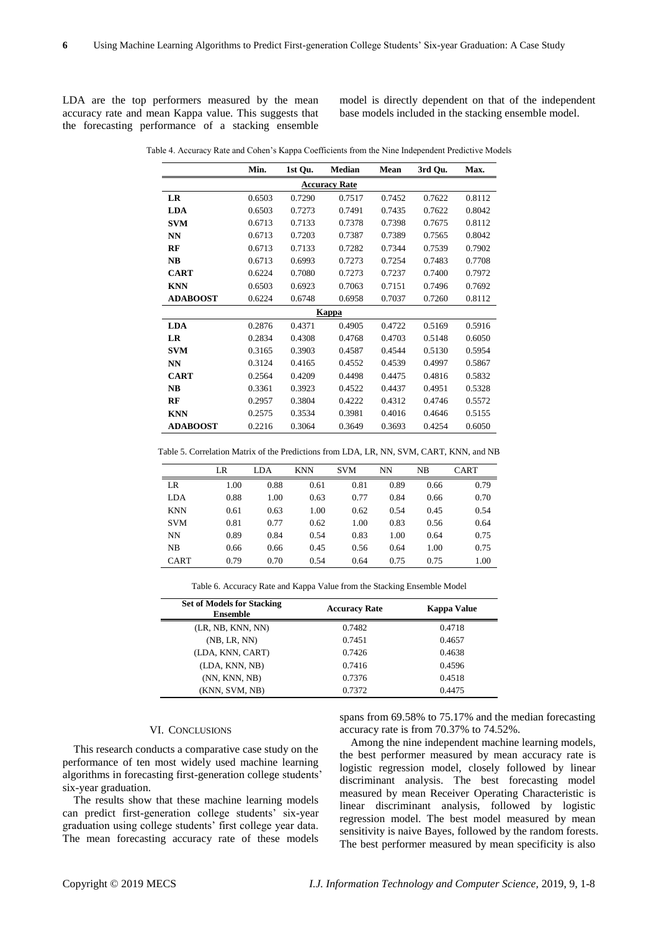LDA are the top performers measured by the mean accuracy rate and mean Kappa value. This suggests that the forecasting performance of a stacking ensemble

model is directly dependent on that of the independent base models included in the stacking ensemble model.

|                      | Min.   | 1st Qu. | Median       | Mean   | 3rd Qu. | Max.   |  |
|----------------------|--------|---------|--------------|--------|---------|--------|--|
| <b>Accuracy Rate</b> |        |         |              |        |         |        |  |
| LR                   | 0.6503 | 0.7290  | 0.7517       | 0.7452 | 0.7622  | 0.8112 |  |
| <b>LDA</b>           | 0.6503 | 0.7273  | 0.7491       | 0.7435 | 0.7622  | 0.8042 |  |
| <b>SVM</b>           | 0.6713 | 0.7133  | 0.7378       | 0.7398 | 0.7675  | 0.8112 |  |
| <b>NN</b>            | 0.6713 | 0.7203  | 0.7387       | 0.7389 | 0.7565  | 0.8042 |  |
| RF                   | 0.6713 | 0.7133  | 0.7282       | 0.7344 | 0.7539  | 0.7902 |  |
| NB                   | 0.6713 | 0.6993  | 0.7273       | 0.7254 | 0.7483  | 0.7708 |  |
| <b>CART</b>          | 0.6224 | 0.7080  | 0.7273       | 0.7237 | 0.7400  | 0.7972 |  |
| <b>KNN</b>           | 0.6503 | 0.6923  | 0.7063       | 0.7151 | 0.7496  | 0.7692 |  |
| <b>ADABOOST</b>      | 0.6224 | 0.6748  | 0.6958       | 0.7037 | 0.7260  | 0.8112 |  |
|                      |        |         | <b>Kappa</b> |        |         |        |  |
| <b>LDA</b>           | 0.2876 | 0.4371  | 0.4905       | 0.4722 | 0.5169  | 0.5916 |  |
| LR                   | 0.2834 | 0.4308  | 0.4768       | 0.4703 | 0.5148  | 0.6050 |  |
| <b>SVM</b>           | 0.3165 | 0.3903  | 0.4587       | 0.4544 | 0.5130  | 0.5954 |  |
| NN                   | 0.3124 | 0.4165  | 0.4552       | 0.4539 | 0.4997  | 0.5867 |  |
| <b>CART</b>          | 0.2564 | 0.4209  | 0.4498       | 0.4475 | 0.4816  | 0.5832 |  |
| NB                   | 0.3361 | 0.3923  | 0.4522       | 0.4437 | 0.4951  | 0.5328 |  |
| RF                   | 0.2957 | 0.3804  | 0.4222       | 0.4312 | 0.4746  | 0.5572 |  |
| <b>KNN</b>           | 0.2575 | 0.3534  | 0.3981       | 0.4016 | 0.4646  | 0.5155 |  |
| <b>ADABOOST</b>      | 0.2216 | 0.3064  | 0.3649       | 0.3693 | 0.4254  | 0.6050 |  |

Table 4. Accuracy Rate and Cohen's Kappa Coefficients from the Nine Independent Predictive Models

Table 5. Correlation Matrix of the Predictions from LDA, LR, NN, SVM, CART, KNN, and NB

|             | LR   | LDA  | <b>KNN</b> | <b>SVM</b> | NN   | NB   | <b>CART</b> |
|-------------|------|------|------------|------------|------|------|-------------|
| LR          | 1.00 | 0.88 | 0.61       | 0.81       | 0.89 | 0.66 | 0.79        |
| LDA         | 0.88 | 1.00 | 0.63       | 0.77       | 0.84 | 0.66 | 0.70        |
| <b>KNN</b>  | 0.61 | 0.63 | 1.00       | 0.62       | 0.54 | 0.45 | 0.54        |
| <b>SVM</b>  | 0.81 | 0.77 | 0.62       | 1.00       | 0.83 | 0.56 | 0.64        |
| NN          | 0.89 | 0.84 | 0.54       | 0.83       | 1.00 | 0.64 | 0.75        |
| NB          | 0.66 | 0.66 | 0.45       | 0.56       | 0.64 | 1.00 | 0.75        |
| <b>CART</b> | 0.79 | 0.70 | 0.54       | 0.64       | 0.75 | 0.75 | 1.00        |

Table 6. Accuracy Rate and Kappa Value from the Stacking Ensemble Model

| <b>Set of Models for Stacking</b><br><b>Ensemble</b> | <b>Accuracy Rate</b> | Kappa Value |
|------------------------------------------------------|----------------------|-------------|
| (LR, NB, KNN, NN)                                    | 0.7482               | 0.4718      |
| (NB, LR, NN)                                         | 0.7451               | 0.4657      |
| (LDA, KNN, CART)                                     | 0.7426               | 0.4638      |
| (LDA, KNN, NB)                                       | 0.7416               | 0.4596      |
| (NN, KNN, NB)                                        | 0.7376               | 0.4518      |
| (KNN, SVM, NB)                                       | 0.7372               | 0.4475      |

## VI. CONCLUSIONS

This research conducts a comparative case study on the performance of ten most widely used machine learning algorithms in forecasting first-generation college students' six-year graduation.

The results show that these machine learning models can predict first-generation college students' six-year graduation using college students' first college year data. The mean forecasting accuracy rate of these models spans from 69.58% to 75.17% and the median forecasting accuracy rate is from 70.37% to 74.52%.

Among the nine independent machine learning models, the best performer measured by mean accuracy rate is logistic regression model, closely followed by linear discriminant analysis. The best forecasting model measured by mean Receiver Operating Characteristic is linear discriminant analysis, followed by logistic regression model. The best model measured by mean sensitivity is naive Bayes, followed by the random forests. The best performer measured by mean specificity is also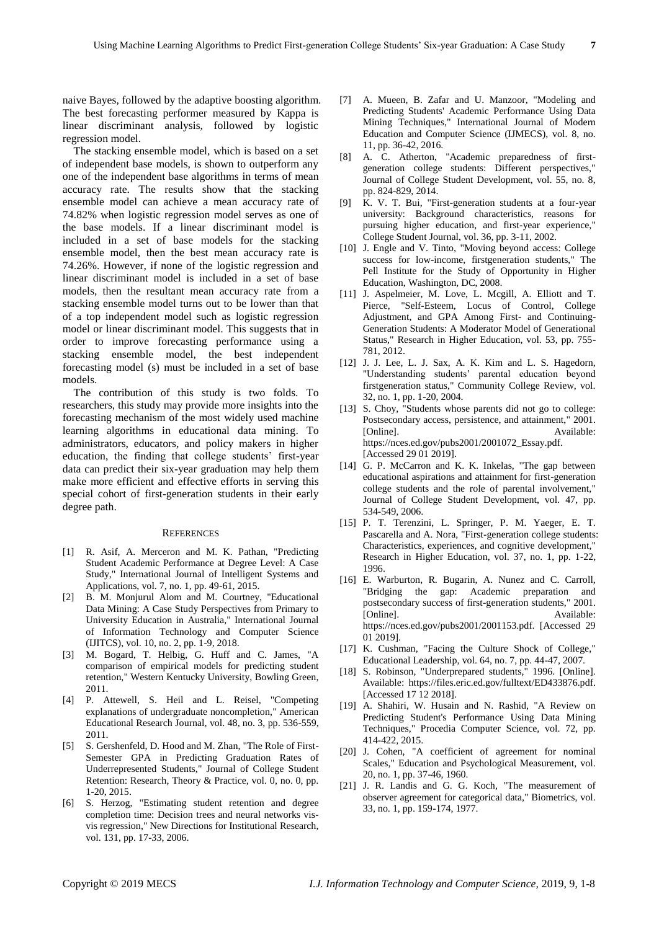naive Bayes, followed by the adaptive boosting algorithm. The best forecasting performer measured by Kappa is linear discriminant analysis, followed by logistic regression model.

The stacking ensemble model, which is based on a set of independent base models, is shown to outperform any one of the independent base algorithms in terms of mean accuracy rate. The results show that the stacking ensemble model can achieve a mean accuracy rate of 74.82% when logistic regression model serves as one of the base models. If a linear discriminant model is included in a set of base models for the stacking ensemble model, then the best mean accuracy rate is 74.26%. However, if none of the logistic regression and linear discriminant model is included in a set of base models, then the resultant mean accuracy rate from a stacking ensemble model turns out to be lower than that of a top independent model such as logistic regression model or linear discriminant model. This suggests that in order to improve forecasting performance using a stacking ensemble model, the best independent forecasting model (s) must be included in a set of base models.

The contribution of this study is two folds. To researchers, this study may provide more insights into the forecasting mechanism of the most widely used machine learning algorithms in educational data mining. To administrators, educators, and policy makers in higher education, the finding that college students' first-year data can predict their six-year graduation may help them make more efficient and effective efforts in serving this special cohort of first-generation students in their early degree path.

#### **REFERENCES**

- [1] R. Asif, A. Merceron and M. K. Pathan, "Predicting Student Academic Performance at Degree Level: A Case Study," International Journal of Intelligent Systems and Applications, vol. 7, no. 1, pp. 49-61, 2015.
- [2] B. M. Monjurul Alom and M. Courtney, "Educational Data Mining: A Case Study Perspectives from Primary to University Education in Australia," International Journal of Information Technology and Computer Science (IJITCS), vol. 10, no. 2, pp. 1-9, 2018.
- [3] M. Bogard, T. Helbig, G. Huff and C. James, "A comparison of empirical models for predicting student retention," Western Kentucky University, Bowling Green, 2011.
- [4] P. Attewell, S. Heil and L. Reisel, "Competing explanations of undergraduate noncompletion," American Educational Research Journal, vol. 48, no. 3, pp. 536-559, 2011.
- [5] S. Gershenfeld, D. Hood and M. Zhan, "The Role of First-Semester GPA in Predicting Graduation Rates of Underrepresented Students," Journal of College Student Retention: Research, Theory & Practice, vol. 0, no. 0, pp. 1-20, 2015.
- [6] S. Herzog, "Estimating student retention and degree completion time: Decision trees and neural networks visvis regression," New Directions for Institutional Research, vol. 131, pp. 17-33, 2006.
- [7] A. Mueen, B. Zafar and U. Manzoor, "Modeling and Predicting Students' Academic Performance Using Data Mining Techniques," International Journal of Modern Education and Computer Science (IJMECS), vol. 8, no. 11, pp. 36-42, 2016.
- [8] A. C. Atherton, "Academic preparedness of firstgeneration college students: Different perspectives," Journal of College Student Development, vol. 55, no. 8, pp. 824-829, 2014.
- [9] K. V. T. Bui, "First-generation students at a four-year university: Background characteristics, reasons for pursuing higher education, and first-year experience," College Student Journal, vol. 36, pp. 3-11, 2002.
- [10] J. Engle and V. Tinto, "Moving beyond access: College success for low-income, firstgeneration students," The Pell Institute for the Study of Opportunity in Higher Education, Washington, DC, 2008.
- [11] J. Aspelmeier, M. Love, L. Mcgill, A. Elliott and T. Pierce, "Self-Esteem, Locus of Control, College Adjustment, and GPA Among First- and Continuing-Generation Students: A Moderator Model of Generational Status," Research in Higher Education, vol. 53, pp. 755- 781, 2012.
- [12] J. J. Lee, L. J. Sax, A. K. Kim and L. S. Hagedorn, "Understanding students' parental education beyond firstgeneration status," Community College Review, vol. 32, no. 1, pp. 1-20, 2004.
- [13] S. Choy, "Students whose parents did not go to college: Postsecondary access, persistence, and attainment," 2001. [Online]. Available: https://nces.ed.gov/pubs2001/2001072\_Essay.pdf. [Accessed 29 01 2019].
- [14] G. P. McCarron and K. K. Inkelas, "The gap between educational aspirations and attainment for first-generation college students and the role of parental involvement," Journal of College Student Development, vol. 47, pp. 534-549, 2006.
- [15] P. T. Terenzini, L. Springer, P. M. Yaeger, E. T. Pascarella and A. Nora, "First-generation college students: Characteristics, experiences, and cognitive development," Research in Higher Education, vol. 37, no. 1, pp. 1-22, 1996.
- [16] E. Warburton, R. Bugarin, A. Nunez and C. Carroll, "Bridging the gap: Academic preparation and postsecondary success of first-generation students," 2001. [Online]. Available: https://nces.ed.gov/pubs2001/2001153.pdf. [Accessed 29 01 2019].
- [17] K. Cushman, "Facing the Culture Shock of College," Educational Leadership, vol. 64, no. 7, pp. 44-47, 2007.
- [18] S. Robinson, "Underprepared students," 1996. [Online]. Available: https://files.eric.ed.gov/fulltext/ED433876.pdf. [Accessed 17 12 2018].
- [19] A. Shahiri, W. Husain and N. Rashid, "A Review on Predicting Student's Performance Using Data Mining Techniques," Procedia Computer Science, vol. 72, pp. 414-422, 2015.
- [20] J. Cohen, "A coefficient of agreement for nominal Scales," Education and Psychological Measurement, vol. 20, no. 1, pp. 37-46, 1960.
- [21] J. R. Landis and G. G. Koch, "The measurement of observer agreement for categorical data," Biometrics, vol. 33, no. 1, pp. 159-174, 1977.